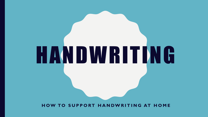#### **HOW TO SUPPORT HANDWRITING AT HOME**

# HANDWRITING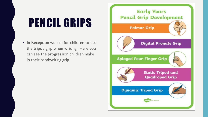# PENCIL GRIPS

• In Reception we aim for children to use the tripod grip when writing. Here you can see the progression children make in their handwriting grip.

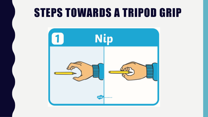## STEPS TOWARDS A TRIPOD GRIP

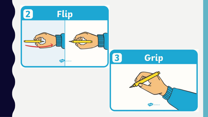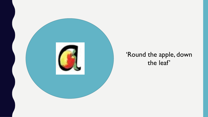

#### 'Round the apple, down the leaf'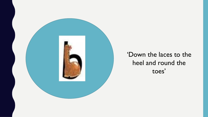

#### 'Down the laces to the heel and round the toes'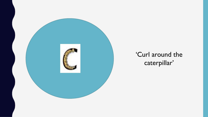

#### 'Curl around the caterpillar'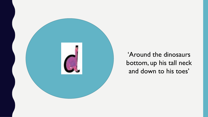

'Around the dinosaurs bottom, up his tall neck and down to his toes'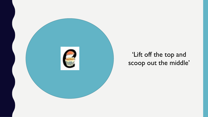

#### 'Lift off the top and scoop out the middle'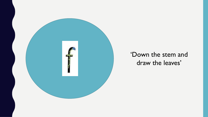

#### 'Down the stem and draw the leaves'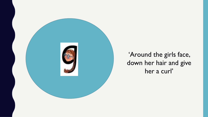

'Around the girls face, down her hair and give her a curl'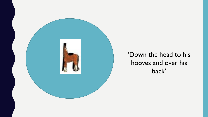

#### 'Down the head to his hooves and over his back'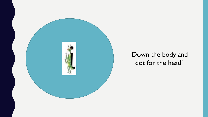

#### 'Down the body and dot for the head'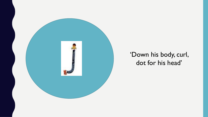

#### 'Down his body, curl, dot for his head'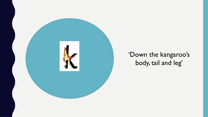

#### 'Down the kangaroo's body, tail and leg'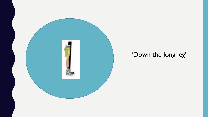

### 'Down the long leg'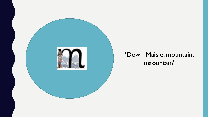

#### 'Down Maisie, mountain, maountain'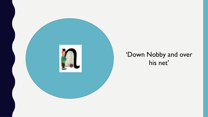

#### 'Down Nobby and over his net'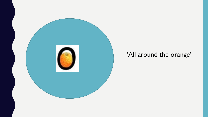

#### 'All around the orange'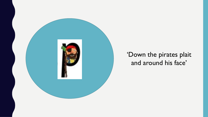

#### 'Down the pirates plait and around his face'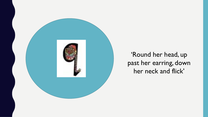

'Round her head, up past her earring, down her neck and flick'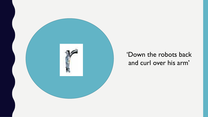

#### 'Down the robots back and curl over his arm'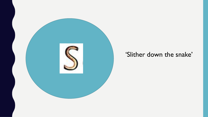

#### 'Slither down the snake'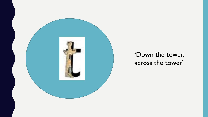

#### 'Down the tower, across the tower'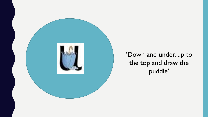

'Down and under, up to the top and draw the puddle'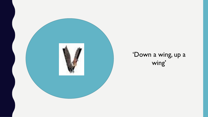

#### 'Down a wing, up a wing'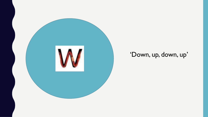

### 'Down, up, down, up'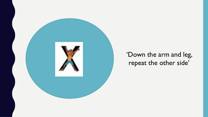

#### 'Down the arm and leg, repeat the other side'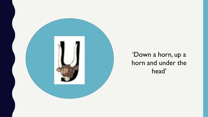

'Down a horn, up a horn and under the head'